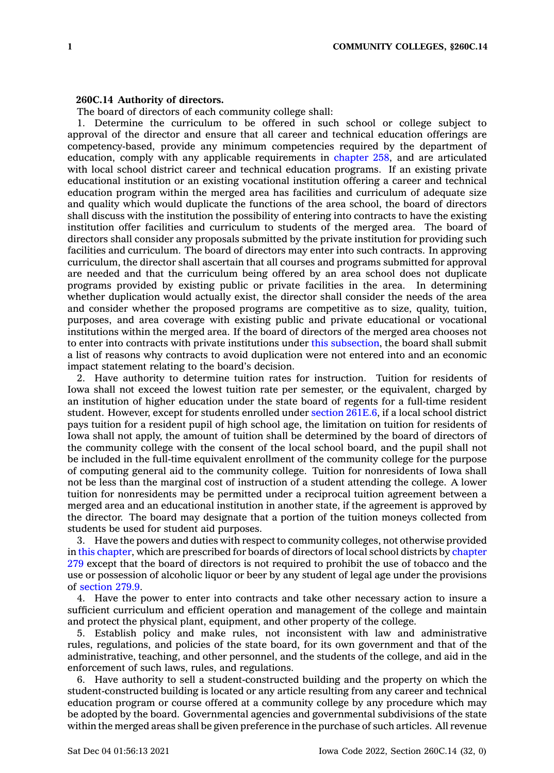## **260C.14 Authority of directors.**

The board of directors of each community college shall:

1. Determine the curriculum to be offered in such school or college subject to approval of the director and ensure that all career and technical education offerings are competency-based, provide any minimum competencies required by the department of education, comply with any applicable requirements in [chapter](https://www.legis.iowa.gov/docs/code//258.pdf) 258, and are articulated with local school district career and technical education programs. If an existing private educational institution or an existing vocational institution offering <sup>a</sup> career and technical education program within the merged area has facilities and curriculum of adequate size and quality which would duplicate the functions of the area school, the board of directors shall discuss with the institution the possibility of entering into contracts to have the existing institution offer facilities and curriculum to students of the merged area. The board of directors shall consider any proposals submitted by the private institution for providing such facilities and curriculum. The board of directors may enter into such contracts. In approving curriculum, the director shall ascertain that all courses and programs submitted for approval are needed and that the curriculum being offered by an area school does not duplicate programs provided by existing public or private facilities in the area. In determining whether duplication would actually exist, the director shall consider the needs of the area and consider whether the proposed programs are competitive as to size, quality, tuition, purposes, and area coverage with existing public and private educational or vocational institutions within the merged area. If the board of directors of the merged area chooses not to enter into contracts with private institutions under this [subsection](https://www.legis.iowa.gov/docs/code/260C.14.pdf), the board shall submit <sup>a</sup> list of reasons why contracts to avoid duplication were not entered into and an economic impact statement relating to the board's decision.

2. Have authority to determine tuition rates for instruction. Tuition for residents of Iowa shall not exceed the lowest tuition rate per semester, or the equivalent, charged by an institution of higher education under the state board of regents for <sup>a</sup> full-time resident student. However, except for students enrolled under section [261E.6](https://www.legis.iowa.gov/docs/code/261E.6.pdf), if <sup>a</sup> local school district pays tuition for <sup>a</sup> resident pupil of high school age, the limitation on tuition for residents of Iowa shall not apply, the amount of tuition shall be determined by the board of directors of the community college with the consent of the local school board, and the pupil shall not be included in the full-time equivalent enrollment of the community college for the purpose of computing general aid to the community college. Tuition for nonresidents of Iowa shall not be less than the marginal cost of instruction of <sup>a</sup> student attending the college. A lower tuition for nonresidents may be permitted under <sup>a</sup> reciprocal tuition agreement between <sup>a</sup> merged area and an educational institution in another state, if the agreement is approved by the director. The board may designate that <sup>a</sup> portion of the tuition moneys collected from students be used for student aid purposes.

3. Have the powers and duties with respect to community colleges, not otherwise provided in this [chapter](https://www.legis.iowa.gov/docs/code//260C.pdf), which are prescribed for boards of directors of local school districts by [chapter](https://www.legis.iowa.gov/docs/code//279.pdf) [279](https://www.legis.iowa.gov/docs/code//279.pdf) except that the board of directors is not required to prohibit the use of tobacco and the use or possession of alcoholic liquor or beer by any student of legal age under the provisions of [section](https://www.legis.iowa.gov/docs/code/279.9.pdf) 279.9.

4. Have the power to enter into contracts and take other necessary action to insure <sup>a</sup> sufficient curriculum and efficient operation and management of the college and maintain and protect the physical plant, equipment, and other property of the college.

5. Establish policy and make rules, not inconsistent with law and administrative rules, regulations, and policies of the state board, for its own government and that of the administrative, teaching, and other personnel, and the students of the college, and aid in the enforcement of such laws, rules, and regulations.

6. Have authority to sell <sup>a</sup> student-constructed building and the property on which the student-constructed building is located or any article resulting from any career and technical education program or course offered at <sup>a</sup> community college by any procedure which may be adopted by the board. Governmental agencies and governmental subdivisions of the state within the merged areas shall be given preference in the purchase of such articles. All revenue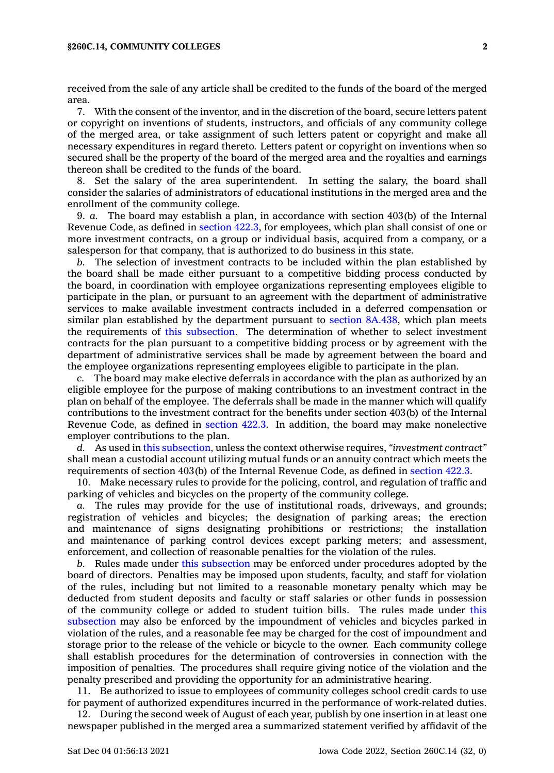## **§260C.14, COMMUNITY COLLEGES 2**

received from the sale of any article shall be credited to the funds of the board of the merged area.

7. With the consent of the inventor, and in the discretion of the board, secure letters patent or copyright on inventions of students, instructors, and officials of any community college of the merged area, or take assignment of such letters patent or copyright and make all necessary expenditures in regard thereto. Letters patent or copyright on inventions when so secured shall be the property of the board of the merged area and the royalties and earnings thereon shall be credited to the funds of the board.

8. Set the salary of the area superintendent. In setting the salary, the board shall consider the salaries of administrators of educational institutions in the merged area and the enrollment of the community college.

9. *a.* The board may establish <sup>a</sup> plan, in accordance with section 403(b) of the Internal Revenue Code, as defined in [section](https://www.legis.iowa.gov/docs/code/422.3.pdf) 422.3, for employees, which plan shall consist of one or more investment contracts, on <sup>a</sup> group or individual basis, acquired from <sup>a</sup> company, or <sup>a</sup> salesperson for that company, that is authorized to do business in this state.

*b.* The selection of investment contracts to be included within the plan established by the board shall be made either pursuant to <sup>a</sup> competitive bidding process conducted by the board, in coordination with employee organizations representing employees eligible to participate in the plan, or pursuant to an agreement with the department of administrative services to make available investment contracts included in <sup>a</sup> deferred compensation or similar plan established by the department pursuant to section [8A.438](https://www.legis.iowa.gov/docs/code/8A.438.pdf), which plan meets the requirements of this [subsection](https://www.legis.iowa.gov/docs/code/260C.14.pdf). The determination of whether to select investment contracts for the plan pursuant to <sup>a</sup> competitive bidding process or by agreement with the department of administrative services shall be made by agreement between the board and the employee organizations representing employees eligible to participate in the plan.

*c.* The board may make elective deferrals in accordance with the plan as authorized by an eligible employee for the purpose of making contributions to an investment contract in the plan on behalf of the employee. The deferrals shall be made in the manner which will qualify contributions to the investment contract for the benefits under section 403(b) of the Internal Revenue Code, as defined in [section](https://www.legis.iowa.gov/docs/code/422.3.pdf) 422.3. In addition, the board may make nonelective employer contributions to the plan.

*d.* As used in this [subsection](https://www.legis.iowa.gov/docs/code/260C.14.pdf), unless the context otherwise requires, *"investment contract"* shall mean <sup>a</sup> custodial account utilizing mutual funds or an annuity contract which meets the requirements of section 403(b) of the Internal Revenue Code, as defined in [section](https://www.legis.iowa.gov/docs/code/422.3.pdf) 422.3.

10. Make necessary rules to provide for the policing, control, and regulation of traffic and parking of vehicles and bicycles on the property of the community college.

*a.* The rules may provide for the use of institutional roads, driveways, and grounds; registration of vehicles and bicycles; the designation of parking areas; the erection and maintenance of signs designating prohibitions or restrictions; the installation and maintenance of parking control devices except parking meters; and assessment, enforcement, and collection of reasonable penalties for the violation of the rules.

*b.* Rules made under this [subsection](https://www.legis.iowa.gov/docs/code/260C.14.pdf) may be enforced under procedures adopted by the board of directors. Penalties may be imposed upon students, faculty, and staff for violation of the rules, including but not limited to <sup>a</sup> reasonable monetary penalty which may be deducted from student deposits and faculty or staff salaries or other funds in possession of the community college or added to student tuition bills. The rules made under [this](https://www.legis.iowa.gov/docs/code/260C.14.pdf) [subsection](https://www.legis.iowa.gov/docs/code/260C.14.pdf) may also be enforced by the impoundment of vehicles and bicycles parked in violation of the rules, and <sup>a</sup> reasonable fee may be charged for the cost of impoundment and storage prior to the release of the vehicle or bicycle to the owner. Each community college shall establish procedures for the determination of controversies in connection with the imposition of penalties. The procedures shall require giving notice of the violation and the penalty prescribed and providing the opportunity for an administrative hearing.

11. Be authorized to issue to employees of community colleges school credit cards to use for payment of authorized expenditures incurred in the performance of work-related duties.

12. During the second week of August of each year, publish by one insertion in at least one newspaper published in the merged area <sup>a</sup> summarized statement verified by affidavit of the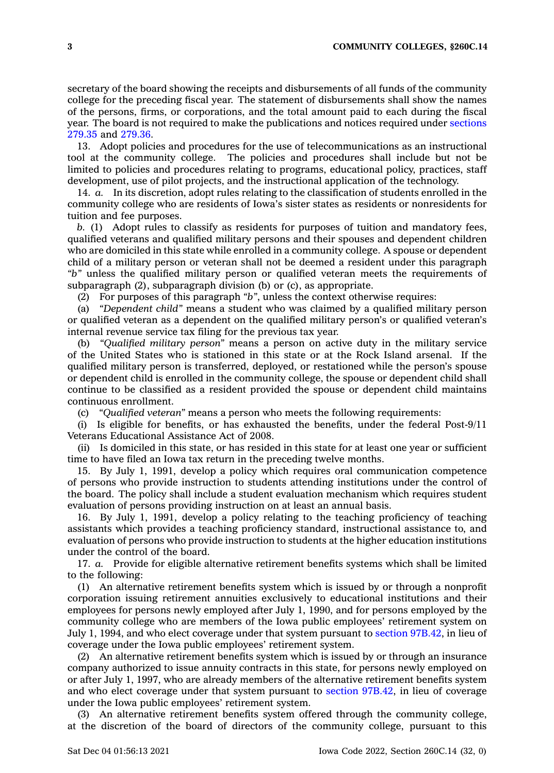secretary of the board showing the receipts and disbursements of all funds of the community college for the preceding fiscal year. The statement of disbursements shall show the names of the persons, firms, or corporations, and the total amount paid to each during the fiscal year. The board is not required to make the publications and notices required under [sections](https://www.legis.iowa.gov/docs/code/279.35.pdf) [279.35](https://www.legis.iowa.gov/docs/code/279.35.pdf) and [279.36](https://www.legis.iowa.gov/docs/code/279.36.pdf).

13. Adopt policies and procedures for the use of telecommunications as an instructional tool at the community college. The policies and procedures shall include but not be limited to policies and procedures relating to programs, educational policy, practices, staff development, use of pilot projects, and the instructional application of the technology.

14. *a.* In its discretion, adopt rules relating to the classification of students enrolled in the community college who are residents of Iowa's sister states as residents or nonresidents for tuition and fee purposes.

*b.* (1) Adopt rules to classify as residents for purposes of tuition and mandatory fees, qualified veterans and qualified military persons and their spouses and dependent children who are domiciled in this state while enrolled in <sup>a</sup> community college. A spouse or dependent child of <sup>a</sup> military person or veteran shall not be deemed <sup>a</sup> resident under this paragraph *"b"* unless the qualified military person or qualified veteran meets the requirements of subparagraph (2), subparagraph division (b) or (c), as appropriate.

(2) For purposes of this paragraph *"b"*, unless the context otherwise requires:

(a) *"Dependent child"* means <sup>a</sup> student who was claimed by <sup>a</sup> qualified military person or qualified veteran as <sup>a</sup> dependent on the qualified military person's or qualified veteran's internal revenue service tax filing for the previous tax year.

(b) *"Qualified military person"* means <sup>a</sup> person on active duty in the military service of the United States who is stationed in this state or at the Rock Island arsenal. If the qualified military person is transferred, deployed, or restationed while the person's spouse or dependent child is enrolled in the community college, the spouse or dependent child shall continue to be classified as <sup>a</sup> resident provided the spouse or dependent child maintains continuous enrollment.

(c) *"Qualified veteran"* means <sup>a</sup> person who meets the following requirements:

(i) Is eligible for benefits, or has exhausted the benefits, under the federal Post-9/11 Veterans Educational Assistance Act of 2008.

(ii) Is domiciled in this state, or has resided in this state for at least one year or sufficient time to have filed an Iowa tax return in the preceding twelve months.

15. By July 1, 1991, develop <sup>a</sup> policy which requires oral communication competence of persons who provide instruction to students attending institutions under the control of the board. The policy shall include <sup>a</sup> student evaluation mechanism which requires student evaluation of persons providing instruction on at least an annual basis.

16. By July 1, 1991, develop <sup>a</sup> policy relating to the teaching proficiency of teaching assistants which provides <sup>a</sup> teaching proficiency standard, instructional assistance to, and evaluation of persons who provide instruction to students at the higher education institutions under the control of the board.

17. *a.* Provide for eligible alternative retirement benefits systems which shall be limited to the following:

(1) An alternative retirement benefits system which is issued by or through <sup>a</sup> nonprofit corporation issuing retirement annuities exclusively to educational institutions and their employees for persons newly employed after July 1, 1990, and for persons employed by the community college who are members of the Iowa public employees' retirement system on July 1, 1994, and who elect coverage under that system pursuant to section [97B.42](https://www.legis.iowa.gov/docs/code/97B.42.pdf), in lieu of coverage under the Iowa public employees' retirement system.

(2) An alternative retirement benefits system which is issued by or through an insurance company authorized to issue annuity contracts in this state, for persons newly employed on or after July 1, 1997, who are already members of the alternative retirement benefits system and who elect coverage under that system pursuant to section [97B.42](https://www.legis.iowa.gov/docs/code/97B.42.pdf), in lieu of coverage under the Iowa public employees' retirement system.

(3) An alternative retirement benefits system offered through the community college, at the discretion of the board of directors of the community college, pursuant to this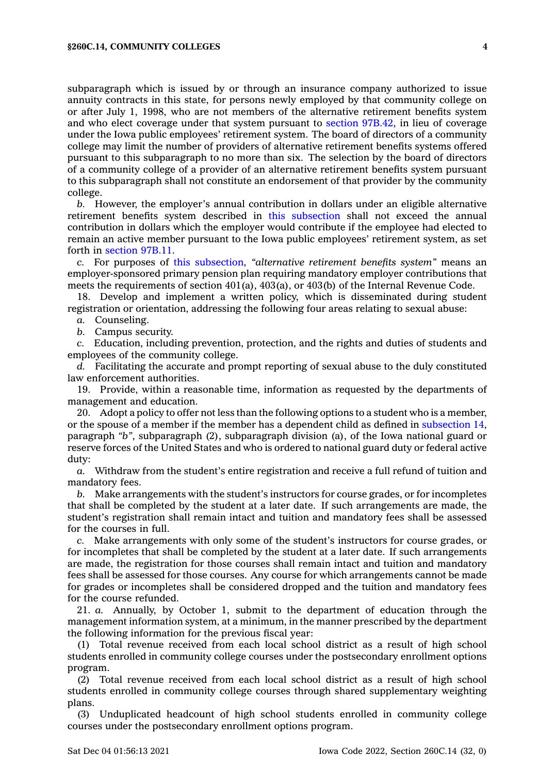subparagraph which is issued by or through an insurance company authorized to issue annuity contracts in this state, for persons newly employed by that community college on or after July 1, 1998, who are not members of the alternative retirement benefits system and who elect coverage under that system pursuant to section [97B.42](https://www.legis.iowa.gov/docs/code/97B.42.pdf), in lieu of coverage under the Iowa public employees' retirement system. The board of directors of <sup>a</sup> community college may limit the number of providers of alternative retirement benefits systems offered pursuant to this subparagraph to no more than six. The selection by the board of directors of <sup>a</sup> community college of <sup>a</sup> provider of an alternative retirement benefits system pursuant to this subparagraph shall not constitute an endorsement of that provider by the community college.

*b.* However, the employer's annual contribution in dollars under an eligible alternative retirement benefits system described in this [subsection](https://www.legis.iowa.gov/docs/code/260C.14.pdf) shall not exceed the annual contribution in dollars which the employer would contribute if the employee had elected to remain an active member pursuant to the Iowa public employees' retirement system, as set forth in [section](https://www.legis.iowa.gov/docs/code/97B.11.pdf) 97B.11.

*c.* For purposes of this [subsection](https://www.legis.iowa.gov/docs/code/260C.14.pdf), *"alternative retirement benefits system"* means an employer-sponsored primary pension plan requiring mandatory employer contributions that meets the requirements of section 401(a), 403(a), or 403(b) of the Internal Revenue Code.

18. Develop and implement <sup>a</sup> written policy, which is disseminated during student registration or orientation, addressing the following four areas relating to sexual abuse:

*a.* Counseling.

*b.* Campus security.

*c.* Education, including prevention, protection, and the rights and duties of students and employees of the community college.

*d.* Facilitating the accurate and prompt reporting of sexual abuse to the duly constituted law enforcement authorities.

19. Provide, within <sup>a</sup> reasonable time, information as requested by the departments of management and education.

20. Adopt <sup>a</sup> policy to offer not less than the following options to <sup>a</sup> student who is <sup>a</sup> member, or the spouse of <sup>a</sup> member if the member has <sup>a</sup> dependent child as defined in [subsection](https://www.legis.iowa.gov/docs/code/260C.14.pdf) 14, paragraph *"b"*, subparagraph (2), subparagraph division (a), of the Iowa national guard or reserve forces of the United States and who is ordered to national guard duty or federal active duty:

*a.* Withdraw from the student's entire registration and receive <sup>a</sup> full refund of tuition and mandatory fees.

*b.* Make arrangements with the student's instructors for course grades, or for incompletes that shall be completed by the student at <sup>a</sup> later date. If such arrangements are made, the student's registration shall remain intact and tuition and mandatory fees shall be assessed for the courses in full.

*c.* Make arrangements with only some of the student's instructors for course grades, or for incompletes that shall be completed by the student at <sup>a</sup> later date. If such arrangements are made, the registration for those courses shall remain intact and tuition and mandatory fees shall be assessed for those courses. Any course for which arrangements cannot be made for grades or incompletes shall be considered dropped and the tuition and mandatory fees for the course refunded.

21. *a.* Annually, by October 1, submit to the department of education through the management information system, at <sup>a</sup> minimum, in the manner prescribed by the department the following information for the previous fiscal year:

(1) Total revenue received from each local school district as <sup>a</sup> result of high school students enrolled in community college courses under the postsecondary enrollment options program.

(2) Total revenue received from each local school district as <sup>a</sup> result of high school students enrolled in community college courses through shared supplementary weighting plans.

(3) Unduplicated headcount of high school students enrolled in community college courses under the postsecondary enrollment options program.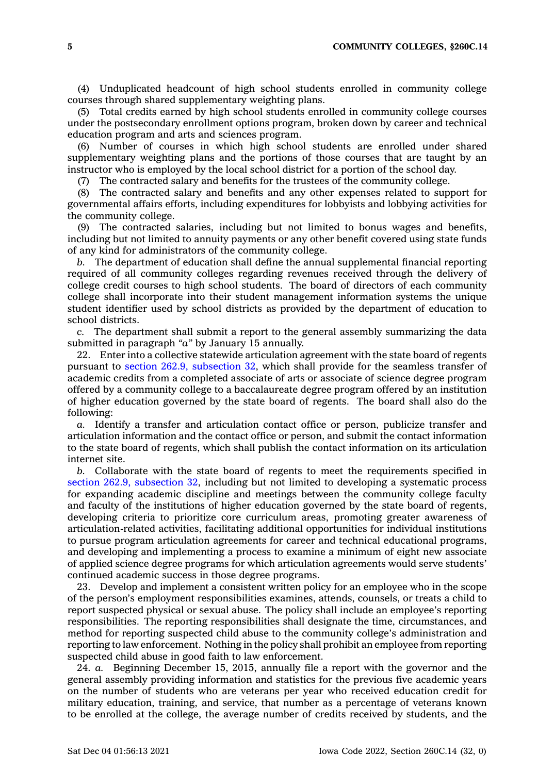**5 COMMUNITY COLLEGES, §260C.14**

(4) Unduplicated headcount of high school students enrolled in community college courses through shared supplementary weighting plans.

(5) Total credits earned by high school students enrolled in community college courses under the postsecondary enrollment options program, broken down by career and technical education program and arts and sciences program.

(6) Number of courses in which high school students are enrolled under shared supplementary weighting plans and the portions of those courses that are taught by an instructor who is employed by the local school district for <sup>a</sup> portion of the school day.

(7) The contracted salary and benefits for the trustees of the community college.

(8) The contracted salary and benefits and any other expenses related to support for governmental affairs efforts, including expenditures for lobbyists and lobbying activities for the community college.

(9) The contracted salaries, including but not limited to bonus wages and benefits, including but not limited to annuity payments or any other benefit covered using state funds of any kind for administrators of the community college.

*b.* The department of education shall define the annual supplemental financial reporting required of all community colleges regarding revenues received through the delivery of college credit courses to high school students. The board of directors of each community college shall incorporate into their student management information systems the unique student identifier used by school districts as provided by the department of education to school districts.

*c.* The department shall submit <sup>a</sup> report to the general assembly summarizing the data submitted in paragraph *"a"* by January 15 annually.

22. Enter into <sup>a</sup> collective statewide articulation agreement with the state board of regents pursuant to section 262.9, [subsection](https://www.legis.iowa.gov/docs/code/262.9.pdf) 32, which shall provide for the seamless transfer of academic credits from <sup>a</sup> completed associate of arts or associate of science degree program offered by <sup>a</sup> community college to <sup>a</sup> baccalaureate degree program offered by an institution of higher education governed by the state board of regents. The board shall also do the following:

*a.* Identify <sup>a</sup> transfer and articulation contact office or person, publicize transfer and articulation information and the contact office or person, and submit the contact information to the state board of regents, which shall publish the contact information on its articulation internet site.

*b.* Collaborate with the state board of regents to meet the requirements specified in section 262.9, [subsection](https://www.legis.iowa.gov/docs/code/262.9.pdf) 32, including but not limited to developing <sup>a</sup> systematic process for expanding academic discipline and meetings between the community college faculty and faculty of the institutions of higher education governed by the state board of regents, developing criteria to prioritize core curriculum areas, promoting greater awareness of articulation-related activities, facilitating additional opportunities for individual institutions to pursue program articulation agreements for career and technical educational programs, and developing and implementing <sup>a</sup> process to examine <sup>a</sup> minimum of eight new associate of applied science degree programs for which articulation agreements would serve students' continued academic success in those degree programs.

23. Develop and implement <sup>a</sup> consistent written policy for an employee who in the scope of the person's employment responsibilities examines, attends, counsels, or treats <sup>a</sup> child to report suspected physical or sexual abuse. The policy shall include an employee's reporting responsibilities. The reporting responsibilities shall designate the time, circumstances, and method for reporting suspected child abuse to the community college's administration and reporting to law enforcement. Nothing in the policy shall prohibit an employee from reporting suspected child abuse in good faith to law enforcement.

24. *a.* Beginning December 15, 2015, annually file <sup>a</sup> report with the governor and the general assembly providing information and statistics for the previous five academic years on the number of students who are veterans per year who received education credit for military education, training, and service, that number as <sup>a</sup> percentage of veterans known to be enrolled at the college, the average number of credits received by students, and the